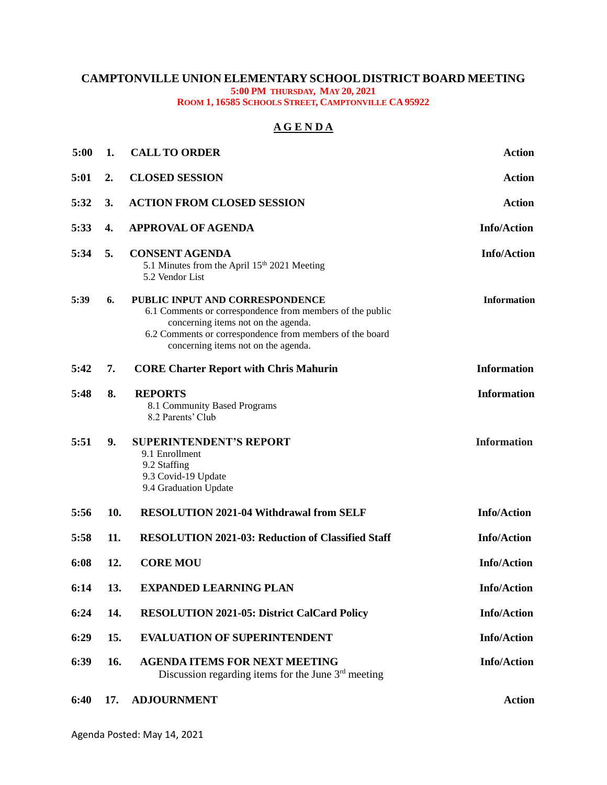## **CAMPTONVILLE UNION ELEMENTARY SCHOOL DISTRICT BOARD MEETING 5:00 PM THURSDAY, MAY 20, 2021**

**ROOM 1, 16585 SCHOOLS STREET, CAMPTONVILLE CA 95922**

## **A G E N D A**

| 5:00 | 1.  | <b>CALL TO ORDER</b>                                                                                                                                                                                                                   | <b>Action</b>      |
|------|-----|----------------------------------------------------------------------------------------------------------------------------------------------------------------------------------------------------------------------------------------|--------------------|
| 5:01 | 2.  | <b>CLOSED SESSION</b>                                                                                                                                                                                                                  | <b>Action</b>      |
| 5:32 | 3.  | <b>ACTION FROM CLOSED SESSION</b>                                                                                                                                                                                                      | <b>Action</b>      |
| 5:33 | 4.  | <b>APPROVAL OF AGENDA</b>                                                                                                                                                                                                              | <b>Info/Action</b> |
| 5:34 | 5.  | <b>CONSENT AGENDA</b><br>5.1 Minutes from the April 15 <sup>th</sup> 2021 Meeting<br>5.2 Vendor List                                                                                                                                   | <b>Info/Action</b> |
| 5:39 | 6.  | PUBLIC INPUT AND CORRESPONDENCE<br>6.1 Comments or correspondence from members of the public<br>concerning items not on the agenda.<br>6.2 Comments or correspondence from members of the board<br>concerning items not on the agenda. | <b>Information</b> |
| 5:42 | 7.  | <b>CORE Charter Report with Chris Mahurin</b>                                                                                                                                                                                          | <b>Information</b> |
| 5:48 | 8.  | <b>REPORTS</b><br>8.1 Community Based Programs<br>8.2 Parents' Club                                                                                                                                                                    | <b>Information</b> |
| 5:51 | 9.  | <b>SUPERINTENDENT'S REPORT</b><br>9.1 Enrollment                                                                                                                                                                                       | <b>Information</b> |
|      |     | 9.2 Staffing<br>9.3 Covid-19 Update<br>9.4 Graduation Update                                                                                                                                                                           |                    |
| 5:56 | 10. | <b>RESOLUTION 2021-04 Withdrawal from SELF</b>                                                                                                                                                                                         | <b>Info/Action</b> |
| 5:58 | 11. | <b>RESOLUTION 2021-03: Reduction of Classified Staff</b>                                                                                                                                                                               | <b>Info/Action</b> |
| 6:08 | 12. | <b>CORE MOU</b>                                                                                                                                                                                                                        | <b>Info/Action</b> |
| 6:14 | 13. | <b>EXPANDED LEARNING PLAN</b>                                                                                                                                                                                                          | <b>Info/Action</b> |
| 6:24 | 14. | <b>RESOLUTION 2021-05: District CalCard Policy</b>                                                                                                                                                                                     | <b>Info/Action</b> |
| 6:29 | 15. | <b>EVALUATION OF SUPERINTENDENT</b>                                                                                                                                                                                                    | <b>Info/Action</b> |
| 6:39 | 16. | <b>AGENDA ITEMS FOR NEXT MEETING</b><br>Discussion regarding items for the June $3rd$ meeting                                                                                                                                          | <b>Info/Action</b> |